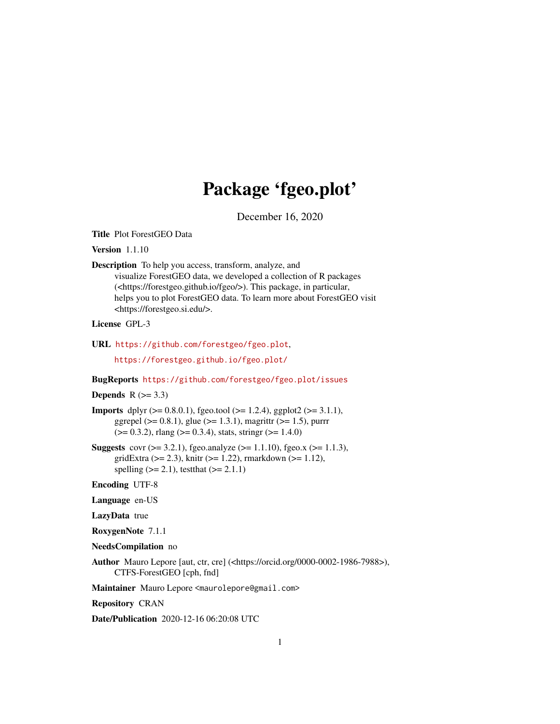# Package 'fgeo.plot'

December 16, 2020

<span id="page-0-0"></span>Title Plot ForestGEO Data

Version 1.1.10

Description To help you access, transform, analyze, and visualize ForestGEO data, we developed a collection of R packages (<https://forestgeo.github.io/fgeo/>). This package, in particular, helps you to plot ForestGEO data. To learn more about ForestGEO visit <https://forestgeo.si.edu/>.

# License GPL-3

URL <https://github.com/forestgeo/fgeo.plot>,

<https://forestgeo.github.io/fgeo.plot/>

# BugReports <https://github.com/forestgeo/fgeo.plot/issues>

#### Depends  $R$  ( $> = 3.3$ )

- **Imports** dplyr  $(>= 0.8.0.1)$ , fgeo.tool  $(>= 1.2.4)$ , ggplot2  $(>= 3.1.1)$ , ggrepel ( $> = 0.8.1$ ), glue ( $> = 1.3.1$ ), magrittr ( $> = 1.5$ ), purrr  $(>= 0.3.2)$ , rlang  $(>= 0.3.4)$ , stats, stringr  $(>= 1.4.0)$
- **Suggests** covr ( $> = 3.2.1$ ), fgeo.analyze ( $> = 1.1.10$ ), fgeo.x ( $> = 1.1.3$ ), gridExtra ( $>= 2.3$ ), knitr ( $>= 1.22$ ), rmarkdown ( $>= 1.12$ ), spelling  $(>= 2.1)$ , testthat  $(>= 2.1.1)$

Encoding UTF-8

Language en-US

LazyData true

RoxygenNote 7.1.1

- NeedsCompilation no
- Author Mauro Lepore [aut, ctr, cre] (<https://orcid.org/0000-0002-1986-7988>), CTFS-ForestGEO [cph, fnd]

Maintainer Mauro Lepore <maurolepore@gmail.com>

Repository CRAN

Date/Publication 2020-12-16 06:20:08 UTC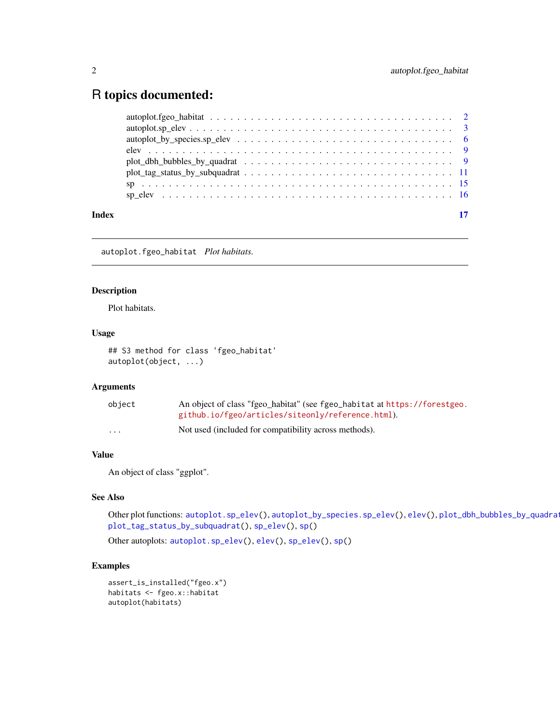# <span id="page-1-0"></span>R topics documented:

| Index | 17 |
|-------|----|
|       |    |
|       |    |
|       |    |
|       |    |
|       |    |
|       |    |
|       |    |
|       |    |

<span id="page-1-1"></span>autoplot.fgeo\_habitat *Plot habitats.*

# Description

Plot habitats.

# Usage

## S3 method for class 'fgeo\_habitat' autoplot(object, ...)

# Arguments

| object   | An object of class "fgeo_habitat" (see fgeo_habitat at https://forestgeo. |
|----------|---------------------------------------------------------------------------|
|          | github.io/fgeo/articles/siteonly/reference.html).                         |
| $\cdots$ | Not used (included for compatibility across methods).                     |

# Value

An object of class "ggplot".

# See Also

Other plot functions: [autoplot.sp\\_elev\(](#page-2-1)), [autoplot\\_by\\_species.sp\\_elev\(](#page-5-1)), [elev\(](#page-8-1)), plot\_dbh\_bubbles\_by\_quadrat [plot\\_tag\\_status\\_by\\_subquadrat\(](#page-10-1)), [sp\\_elev\(](#page-15-1)), [sp\(](#page-14-1))

Other autoplots: [autoplot.sp\\_elev\(](#page-2-1)), [elev\(](#page-8-1)), [sp\\_elev\(](#page-15-1)), [sp\(](#page-14-1))

```
assert_is_installed("fgeo.x")
habitats <- fgeo.x::habitat
autoplot(habitats)
```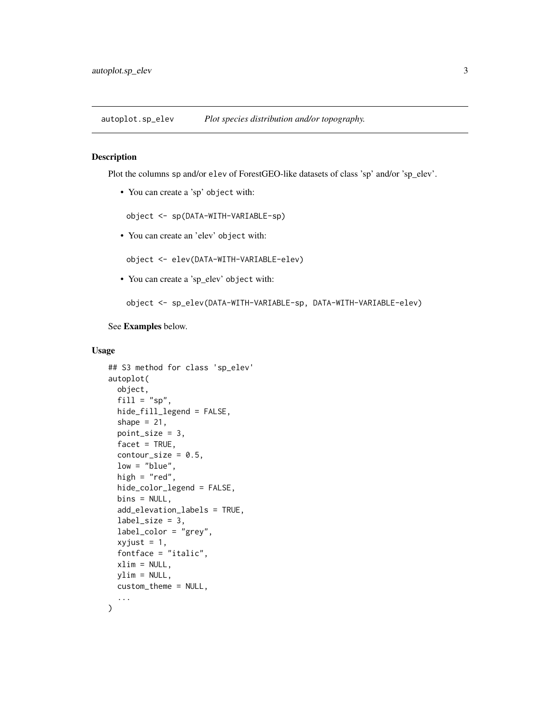<span id="page-2-1"></span><span id="page-2-0"></span>autoplot.sp\_elev *Plot species distribution and/or topography.*

#### <span id="page-2-2"></span>Description

Plot the columns sp and/or elev of ForestGEO-like datasets of class 'sp' and/or 'sp\_elev'.

• You can create a 'sp' object with:

object <- sp(DATA-WITH-VARIABLE-sp)

• You can create an 'elev' object with:

object <- elev(DATA-WITH-VARIABLE-elev)

• You can create a 'sp\_elev' object with:

object <- sp\_elev(DATA-WITH-VARIABLE-sp, DATA-WITH-VARIABLE-elev)

# See Examples below.

# Usage

```
## S3 method for class 'sp_elev'
autoplot(
 object,
  fill = "sp",hide_fill_legend = FALSE,
  shape = 21,
 point_size = 3,
  facet = TRUE,contour\_size = 0.5,
  low = "blue",high = "red",hide_color_legend = FALSE,
 bins = NULL,
  add_elevation_labels = TRUE,
  label_size = 3,
  label_color = "grey",
  xyjust = 1,fontface = "italic",
  xlim = NULL,ylim = NULL,
  custom_theme = NULL,
  ...
)
```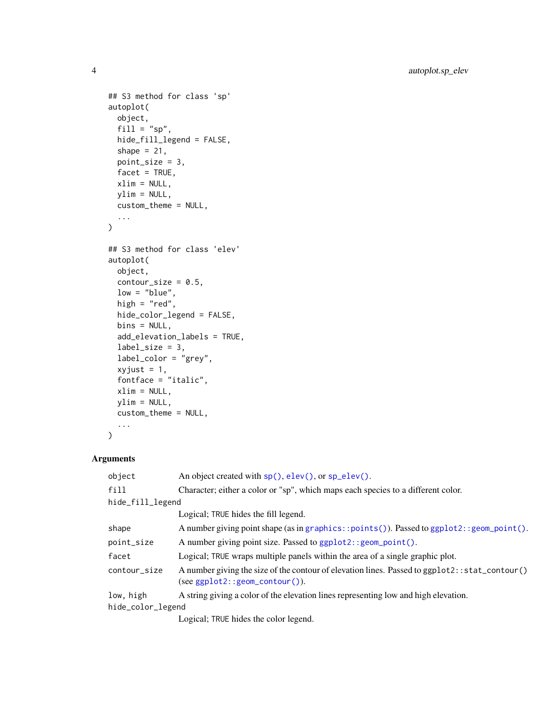```
## S3 method for class 'sp'
autoplot(
 object,
 fill = "sp",hide_fill_legend = FALSE,
 shape = 21,
 point_size = 3,
 facet = TRUE,xlim = NULL,ylim = NULL,
 custom_theme = NULL,
  ...
)
## S3 method for class 'elev'
autoplot(
 object,
 contour_size = 0.5,
 low = "blue",high = "red",hide_color_legend = FALSE,
 bins = NULL,
 add_elevation_labels = TRUE,
 label\_size = 3,label_color = "grey",
 xyjust = 1,fontface = "italic",
 xlim = NULL,
 ylim = NULL,
 custom_theme = NULL,
  ...
)
```
# Arguments

| object            | An object created with $sp($ ), elev(), or $sp\_elev()$ .                                                                           |
|-------------------|-------------------------------------------------------------------------------------------------------------------------------------|
| $f$ ill           | Character; either a color or "sp", which maps each species to a different color.                                                    |
| hide_fill_legend  |                                                                                                                                     |
|                   | Logical; TRUE hides the fill legend.                                                                                                |
| shape             | A number giving point shape (as in graphics::points()). Passed to ggplot2::geom_point().                                            |
| point_size        | A number giving point size. Passed to ggplot2:: geom_point().                                                                       |
| facet             | Logical; TRUE wraps multiple panels within the area of a single graphic plot.                                                       |
| contour_size      | A number giving the size of the contour of elevation lines. Passed to ggplot2:: stat_contour()<br>$(see ggplot2::geom_countour()).$ |
| low, high         | A string giving a color of the elevation lines representing low and high elevation.                                                 |
| hide_color_legend |                                                                                                                                     |
|                   | Logical: TBUE hides the color legand                                                                                                |

Logical; TRUE hides the color legend.

<span id="page-3-0"></span>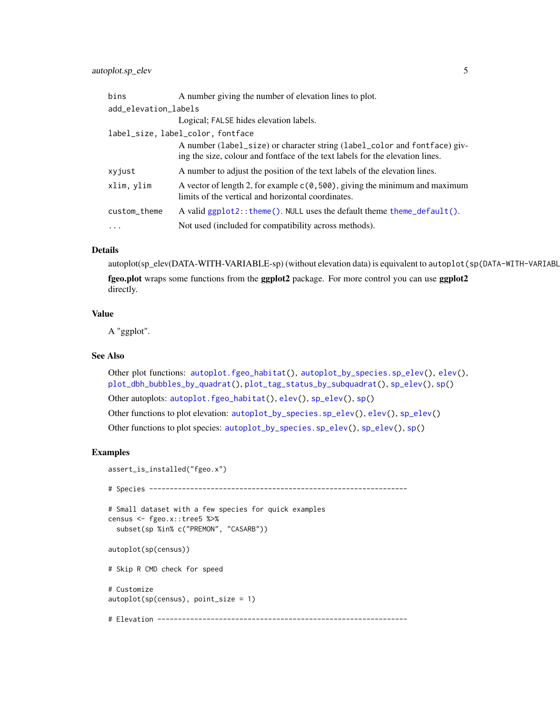# <span id="page-4-0"></span>autoplot.sp\_elev 5

| bins                 | A number giving the number of elevation lines to plot.                                                                                                     |  |
|----------------------|------------------------------------------------------------------------------------------------------------------------------------------------------------|--|
| add_elevation_labels |                                                                                                                                                            |  |
|                      | Logical; FALSE hides elevation labels.                                                                                                                     |  |
|                      | label_size, label_color, fontface                                                                                                                          |  |
|                      | A number (label_size) or character string (label_color and fontface) giv-<br>ing the size, colour and fontface of the text labels for the elevation lines. |  |
| xyjust               | A number to adjust the position of the text labels of the elevation lines.                                                                                 |  |
| xlim, ylim           | A vector of length 2, for example $c(0, 500)$ , giving the minimum and maximum<br>limits of the vertical and horizontal coordinates.                       |  |
| custom_theme         | A valid $ggplot2$ :: theme(). NULL uses the default theme theme_default().                                                                                 |  |
| $\cdots$             | Not used (included for compatibility across methods).                                                                                                      |  |

#### Details

autoplot(sp\_elev(DATA-WITH-VARIABLE-sp) (without elevation data) is equivalent to autoplot(sp(DATA-WITH-VARIABL

fgeo.plot wraps some functions from the ggplot2 package. For more control you can use ggplot2 directly.

#### Value

A "ggplot".

# See Also

Other plot functions: [autoplot.fgeo\\_habitat\(](#page-1-1)), [autoplot\\_by\\_species.sp\\_elev\(](#page-5-1)), [elev\(](#page-8-1)), [plot\\_dbh\\_bubbles\\_by\\_quadrat\(](#page-8-2)), [plot\\_tag\\_status\\_by\\_subquadrat\(](#page-10-1)), [sp\\_elev\(](#page-15-1)), [sp\(](#page-14-1))

Other autoplots: [autoplot.fgeo\\_habitat\(](#page-1-1)), [elev\(](#page-8-1)), [sp\\_elev\(](#page-15-1)), [sp\(](#page-14-1))

Other functions to plot elevation: [autoplot\\_by\\_species.sp\\_elev\(](#page-5-1)), [elev\(](#page-8-1)), [sp\\_elev\(](#page-15-1))

Other functions to plot species: [autoplot\\_by\\_species.sp\\_elev\(](#page-5-1)), [sp\\_elev\(](#page-15-1)), [sp\(](#page-14-1))

```
assert_is_installed("fgeo.x")
# Species ---------------------------------------------------------------
# Small dataset with a few species for quick examples
census <- fgeo.x::tree5 %>%
 subset(sp %in% c("PREMON", "CASARB"))
autoplot(sp(census))
# Skip R CMD check for speed
# Customize
autoplot(sp(census), point_size = 1)
# Elevation -------------------------------------------------------------
```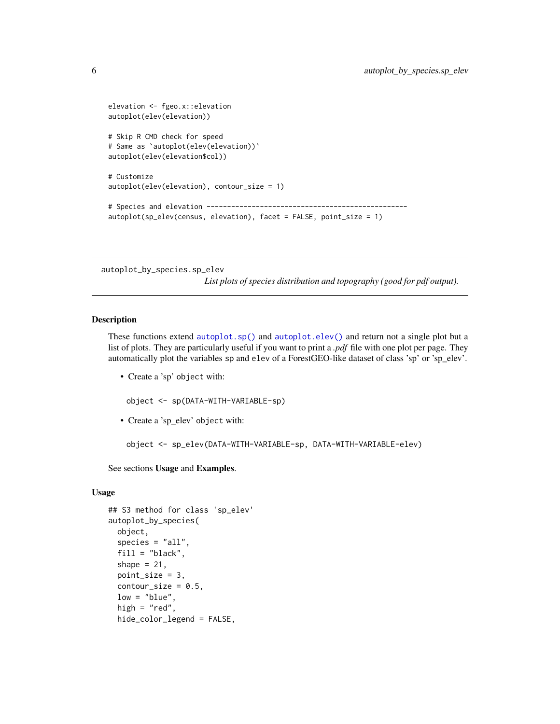```
elevation <- fgeo.x::elevation
autoplot(elev(elevation))
# Skip R CMD check for speed
# Same as `autoplot(elev(elevation))`
autoplot(elev(elevation$col))
# Customize
autoplot(elev(elevation), contour_size = 1)
# Species and elevation -------------------------------------------------
autoplot(sp_elev(census, elevation), facet = FALSE, point_size = 1)
```
<span id="page-5-1"></span>autoplot\_by\_species.sp\_elev

*List plots of species distribution and topography (good for pdf output).*

# Description

These functions extend [autoplot.sp\(\)](#page-2-2) and [autoplot.elev\(\)](#page-2-2) and return not a single plot but a list of plots. They are particularly useful if you want to print a *.pdf* file with one plot per page. They automatically plot the variables sp and elev of a ForestGEO-like dataset of class 'sp' or 'sp\_elev'.

• Create a 'sp' object with:

object <- sp(DATA-WITH-VARIABLE-sp)

• Create a 'sp\_elev' object with:

object <- sp\_elev(DATA-WITH-VARIABLE-sp, DATA-WITH-VARIABLE-elev)

See sections Usage and Examples.

# Usage

```
## S3 method for class 'sp_elev'
autoplot_by_species(
 object,
  species = "all",
  fill = "black",
  shape = 21,
 point_size = 3,
  contour_size = 0.5,
  low = "blue",high = "red",hide_color_legend = FALSE,
```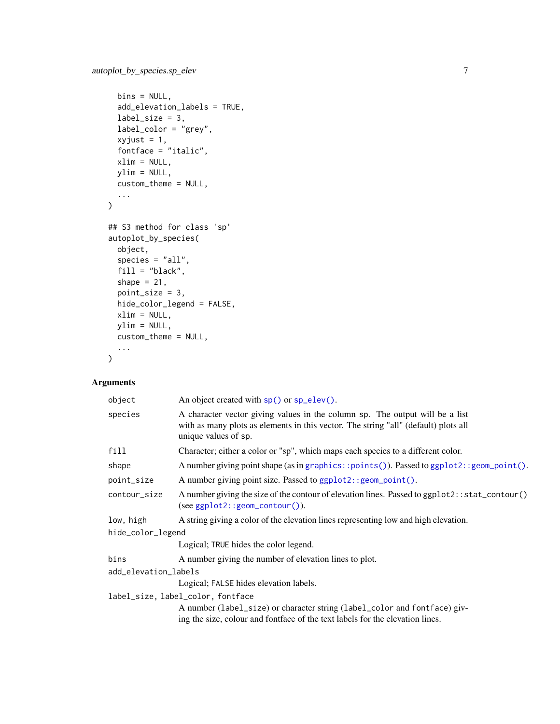```
bins = NULL,add_elevation_labels = TRUE,
  label\_size = 3,
  label_color = "grey",
  xyjust = 1,
  fontface = "italic",
 xlim = NULL,ylim = NULL,
 custom_theme = NULL,
  ...
\mathcal{L}## S3 method for class 'sp'
autoplot_by_species(
 object,
  species = "all",
  fill = "black",
  shape = 21,
 point_size = 3,
 hide_color_legend = FALSE,
 xlim = NULL,ylim = NULL,
 custom_theme = NULL,
  ...
\mathcal{L}
```
# Arguments

| object                            | An object created with sp() or sp_elev().                                                                                                                                                                                                                                                        |  |
|-----------------------------------|--------------------------------------------------------------------------------------------------------------------------------------------------------------------------------------------------------------------------------------------------------------------------------------------------|--|
| species                           | A character vector giving values in the column sp. The output will be a list<br>with as many plots as elements in this vector. The string "all" (default) plots all<br>unique values of sp.                                                                                                      |  |
| fill                              | Character; either a color or "sp", which maps each species to a different color.                                                                                                                                                                                                                 |  |
| shape                             | A number giving point shape (as in graphics::points()). Passed to ggplot2::geom_point().                                                                                                                                                                                                         |  |
| point_size                        | A number giving point size. Passed to ggplot2:: geom_point().                                                                                                                                                                                                                                    |  |
| contour_size                      | A number giving the size of the contour of elevation lines. Passed to ggplot2:: stat_contour()<br>(see ggplot2::geom_contour()).                                                                                                                                                                 |  |
| low, high                         | A string giving a color of the elevation lines representing low and high elevation.                                                                                                                                                                                                              |  |
| hide_color_legend                 |                                                                                                                                                                                                                                                                                                  |  |
|                                   | Logical; TRUE hides the color legend.                                                                                                                                                                                                                                                            |  |
| bins                              | A number giving the number of elevation lines to plot.                                                                                                                                                                                                                                           |  |
| add_elevation_labels              |                                                                                                                                                                                                                                                                                                  |  |
|                                   | Logical; FALSE hides elevation labels.                                                                                                                                                                                                                                                           |  |
| label_size, label_color, fontface |                                                                                                                                                                                                                                                                                                  |  |
|                                   | A number (label_size) or character string (label_color and fontface) giv-                                                                                                                                                                                                                        |  |
|                                   | $\mathbf{1}$ and $\mathbf{1}$ and $\mathbf{0}$ and $\mathbf{1}$ and $\mathbf{1}$ and $\mathbf{1}$ and $\mathbf{1}$ and $\mathbf{1}$ and $\mathbf{1}$ and $\mathbf{1}$ and $\mathbf{1}$ and $\mathbf{1}$ and $\mathbf{1}$ and $\mathbf{1}$ and $\mathbf{1}$ and $\mathbf{1}$ and $\mathbf{1}$ and |  |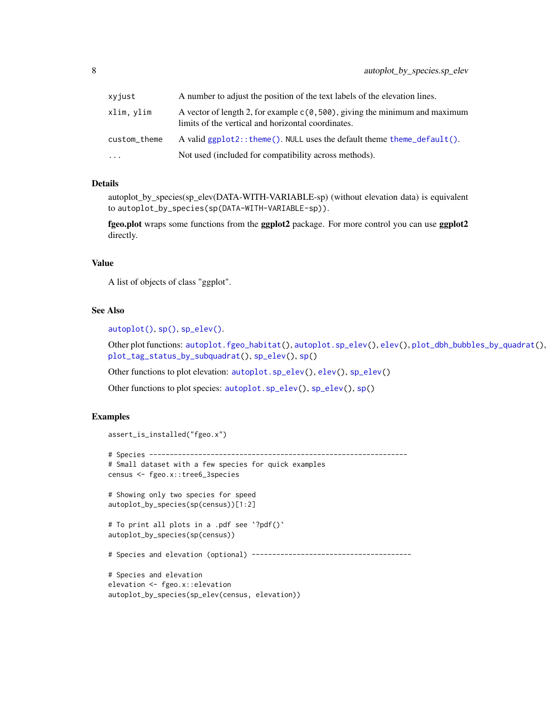<span id="page-7-0"></span>

| xyjust       | A number to adjust the position of the text labels of the elevation lines.                                                           |
|--------------|--------------------------------------------------------------------------------------------------------------------------------------|
| xlim, ylim   | A vector of length 2, for example $c(0, 500)$ , giving the minimum and maximum<br>limits of the vertical and horizontal coordinates. |
| custom_theme | A valid $ggplot2$ :: theme(). NULL uses the default theme theme_default().                                                           |
| $\cdots$     | Not used (included for compatibility across methods).                                                                                |

#### Details

autoplot\_by\_species(sp\_elev(DATA-WITH-VARIABLE-sp) (without elevation data) is equivalent to autoplot\_by\_species(sp(DATA-WITH-VARIABLE-sp)).

fgeo.plot wraps some functions from the ggplot2 package. For more control you can use ggplot2 directly.

# Value

A list of objects of class "ggplot".

#### See Also

[autoplot\(\)](#page-0-0), [sp\(\)](#page-14-1), [sp\\_elev\(\)](#page-15-1).

Other plot functions: [autoplot.fgeo\\_habitat\(](#page-1-1)), [autoplot.sp\\_elev\(](#page-2-1)), [elev\(](#page-8-1)), [plot\\_dbh\\_bubbles\\_by\\_quadrat\(](#page-8-2)), [plot\\_tag\\_status\\_by\\_subquadrat\(](#page-10-1)), [sp\\_elev\(](#page-15-1)), [sp\(](#page-14-1))

Other functions to plot elevation: [autoplot.sp\\_elev\(](#page-2-1)), [elev\(](#page-8-1)), [sp\\_elev\(](#page-15-1))

Other functions to plot species: [autoplot.sp\\_elev\(](#page-2-1)), [sp\\_elev\(](#page-15-1)), [sp\(](#page-14-1))

```
assert_is_installed("fgeo.x")
# Species ---------------------------------------------------------------
# Small dataset with a few species for quick examples
census <- fgeo.x::tree6_3species
# Showing only two species for speed
autoplot_by_species(sp(census))[1:2]
# To print all plots in a .pdf see `?pdf()`
autoplot_by_species(sp(census))
# Species and elevation (optional) ---------------------------------------
# Species and elevation
elevation <- fgeo.x::elevation
autoplot_by_species(sp_elev(census, elevation))
```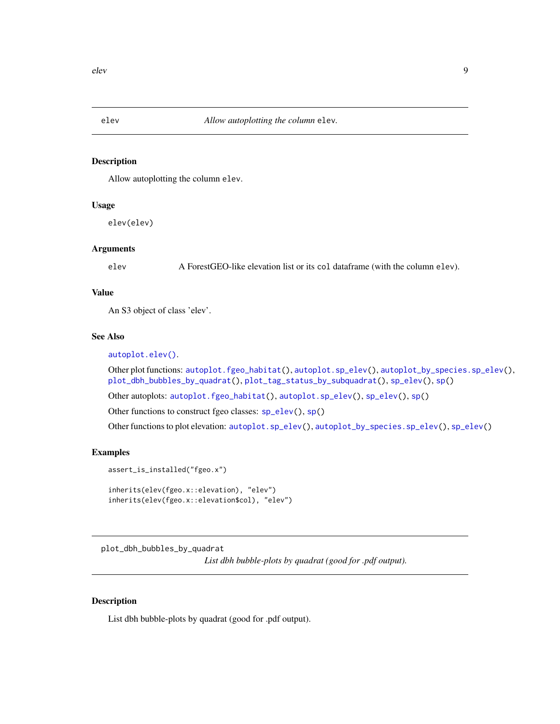<span id="page-8-1"></span><span id="page-8-0"></span>

# Description

Allow autoplotting the column elev.

### Usage

elev(elev)

# Arguments

elev A ForestGEO-like elevation list or its col dataframe (with the column elev).

# Value

An S3 object of class 'elev'.

# See Also

[autoplot.elev\(\)](#page-2-2).

Other plot functions: [autoplot.fgeo\\_habitat\(](#page-1-1)), [autoplot.sp\\_elev\(](#page-2-1)), [autoplot\\_by\\_species.sp\\_elev\(](#page-5-1)), [plot\\_dbh\\_bubbles\\_by\\_quadrat\(](#page-8-2)), [plot\\_tag\\_status\\_by\\_subquadrat\(](#page-10-1)), [sp\\_elev\(](#page-15-1)), [sp\(](#page-14-1))

Other autoplots: [autoplot.fgeo\\_habitat\(](#page-1-1)), [autoplot.sp\\_elev\(](#page-2-1)), [sp\\_elev\(](#page-15-1)), [sp\(](#page-14-1))

Other functions to construct fgeo classes: [sp\\_elev\(](#page-15-1)), [sp\(](#page-14-1))

Other functions to plot elevation: [autoplot.sp\\_elev\(](#page-2-1)), [autoplot\\_by\\_species.sp\\_elev\(](#page-5-1)), [sp\\_elev\(](#page-15-1))

#### Examples

```
assert_is_installed("fgeo.x")
inherits(elev(fgeo.x::elevation), "elev")
inherits(elev(fgeo.x::elevation$col), "elev")
```
<span id="page-8-2"></span>plot\_dbh\_bubbles\_by\_quadrat *List dbh bubble-plots by quadrat (good for .pdf output).*

#### Description

List dbh bubble-plots by quadrat (good for .pdf output).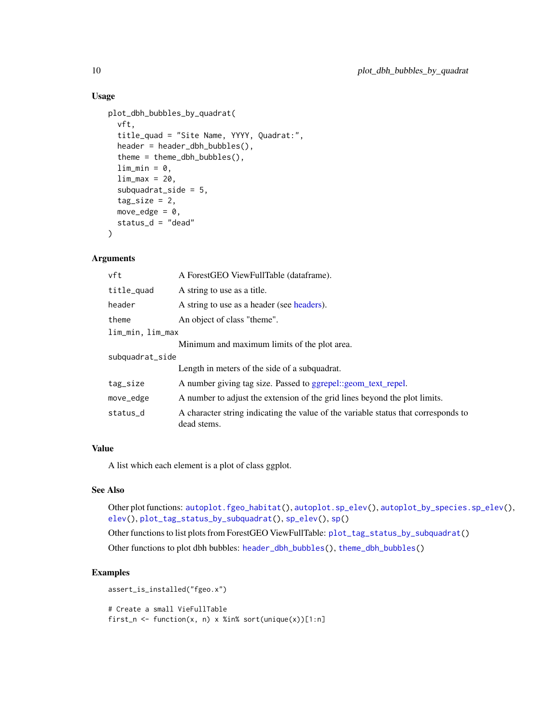# Usage

```
plot_dbh_bubbles_by_quadrat(
  vft,
  title_quad = "Site Name, YYYY, Quadrat:",
  header = header_dbh_bubbles(),
  theme = theme_dbh_bubbles(),
  lim\_min = 0,
  lim_max = 20,
  subquadrat_side = 5,
  tag\_size = 2,
 move_edge = 0,
 status_d = "dead"
)
```
#### Arguments

| vft              | A Forest GEO View Full Table (data frame).                                                        |  |
|------------------|---------------------------------------------------------------------------------------------------|--|
| title_quad       | A string to use as a title.                                                                       |  |
| header           | A string to use as a header (see headers).                                                        |  |
| theme            | An object of class "theme".                                                                       |  |
| lim_min, lim_max |                                                                                                   |  |
|                  | Minimum and maximum limits of the plot area.                                                      |  |
| subquadrat_side  |                                                                                                   |  |
|                  | Length in meters of the side of a subquadrat.                                                     |  |
| tag_size         | A number giving tag size. Passed to ggrepel::geom_text_repel.                                     |  |
| move_edge        | A number to adjust the extension of the grid lines beyond the plot limits.                        |  |
| status_d         | A character string indicating the value of the variable status that corresponds to<br>dead stems. |  |

# Value

A list which each element is a plot of class ggplot.

#### See Also

Other plot functions: [autoplot.fgeo\\_habitat\(](#page-1-1)), [autoplot.sp\\_elev\(](#page-2-1)), [autoplot\\_by\\_species.sp\\_elev\(](#page-5-1)), [elev\(](#page-8-1)), [plot\\_tag\\_status\\_by\\_subquadrat\(](#page-10-1)), [sp\\_elev\(](#page-15-1)), [sp\(](#page-14-1))

Other functions to list plots from ForestGEO ViewFullTable: [plot\\_tag\\_status\\_by\\_subquadrat\(](#page-10-1)) Other functions to plot dbh bubbles: [header\\_dbh\\_bubbles\(](#page-0-0)), [theme\\_dbh\\_bubbles\(](#page-0-0))

```
assert_is_installed("fgeo.x")
# Create a small VieFullTable
first_n <- function(x, n) x %in% sort(unique(x))[1:n]
```
<span id="page-9-0"></span>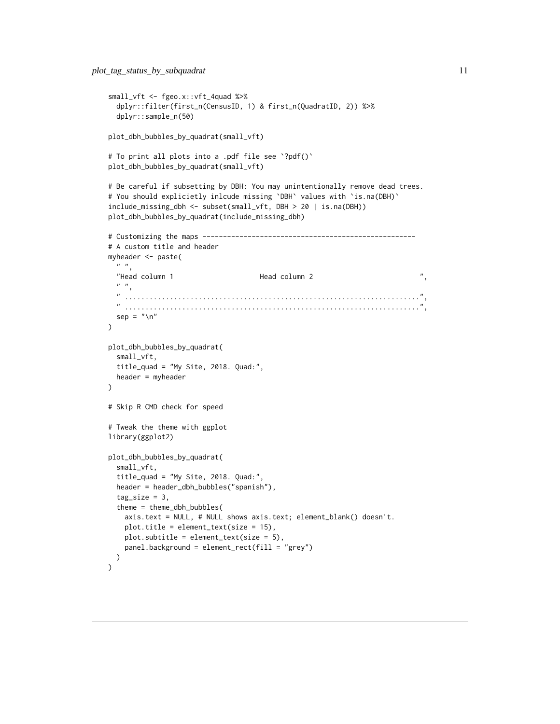```
small_vft <- fgeo.x::vft_4quad %>%
  dplyr::filter(first_n(CensusID, 1) & first_n(QuadratID, 2)) %>%
  dplyr::sample_n(50)
plot_dbh_bubbles_by_quadrat(small_vft)
# To print all plots into a .pdf file see `?pdf()`
plot_dbh_bubbles_by_quadrat(small_vft)
# Be careful if subsetting by DBH: You may unintentionally remove dead trees.
# You should explicietly inlcude missing `DBH` values with `is.na(DBH)`
include_missing_dbh <- subset(small_vft, DBH > 20 | is.na(DBH))
plot_dbh_bubbles_by_quadrat(include_missing_dbh)
# Customizing the maps ----------------------------------------------------
# A custom title and header
myheader <- paste(
 " ",
  "Head column 1 Thead column 2 Thead column 2 Thead column 2 Thead column 2 Thead column 2 Thead Column 2 Thead Column 2 Thead Column 2 Thead Column 2 Thead Column 2 Thead Column 2 Thead Column 2 Thead Column 2 Thead Column
  \frac{1}{n} \frac{n}{2}" ........................................................................",
  " ........................................................................",
  sep = "n")
plot_dbh_bubbles_by_quadrat(
  small_vft,
  title_quad = "My Site, 2018. Quad:",
  header = myheader
)
# Skip R CMD check for speed
# Tweak the theme with ggplot
library(ggplot2)
plot_dbh_bubbles_by_quadrat(
  small_vft,
  title_quad = "My Site, 2018. Quad:",
  header = header_dbh_bubbles("spanish"),
  tag\_size = 3,
  theme = theme_dbh_bubbles(
    axis.text = NULL, # NULL shows axis.text; element_blank() doesn't.
    plot.title = element_text(size = 15),
    plot.subtitle = element_text(size = 5),
    panel.background = element_rect(fill = "grey")
 )
\mathcal{L}
```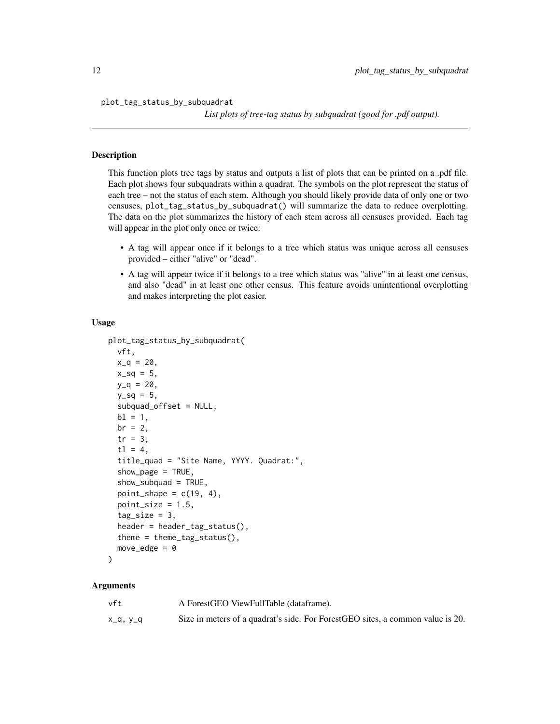<span id="page-11-0"></span>plot\_tag\_status\_by\_subquadrat

*List plots of tree-tag status by subquadrat (good for .pdf output).*

# **Description**

This function plots tree tags by status and outputs a list of plots that can be printed on a .pdf file. Each plot shows four subquadrats within a quadrat. The symbols on the plot represent the status of each tree – not the status of each stem. Although you should likely provide data of only one or two censuses, plot\_tag\_status\_by\_subquadrat() will summarize the data to reduce overplotting. The data on the plot summarizes the history of each stem across all censuses provided. Each tag will appear in the plot only once or twice:

- A tag will appear once if it belongs to a tree which status was unique across all censuses provided – either "alive" or "dead".
- A tag will appear twice if it belongs to a tree which status was "alive" in at least one census, and also "dead" in at least one other census. This feature avoids unintentional overplotting and makes interpreting the plot easier.

#### Usage

```
plot_tag_status_by_subquadrat(
 vft,
 x_q = 20,
  x_{-}sq = 5,
 y_q = 20,
 y_Sq = 5,
  subquad_offset = NULL,
 bl = 1,
 br = 2tr = 3,
  t1 = 4,
  title_quad = "Site Name, YYYY. Quadrat:",
  show_page = TRUE,
  show_subquad = TRUE,
  point_shape = c(19, 4),
 point_size = 1.5,
  tag\_size = 3,
  header = header_tag_status(),
  theme = theme_tag_status(),
 move_edge = 0)
```
#### Arguments

| vft      | A Forest GEO View Full Table (data frame).                                     |
|----------|--------------------------------------------------------------------------------|
| x_q, y_q | Size in meters of a quadrat's side. For ForestGEO sites, a common value is 20. |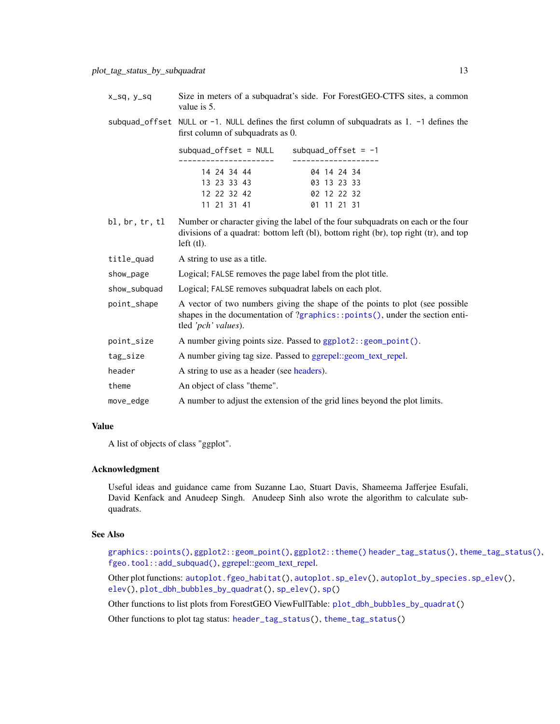<span id="page-12-0"></span>

| X_SQ, V_SQ | Size in meters of a subquadrat's side. For ForestGEO-CTFS sites, a common<br>value is 5.                                               |
|------------|----------------------------------------------------------------------------------------------------------------------------------------|
|            | subquad_offset NULL or $-1$ . NULL defines the first column of subquadrats as 1. $-1$ defines the<br>first column of subquadrats as 0. |

| $subquad_offset = NULL$ | subquad_offset = $-1$ |
|-------------------------|-----------------------|
|                         |                       |
| 14 24 34 44             | 04 14 24 34           |
| 13 23 33 43             | 03 13 23 33           |
| 12 22 32 42             | 02 12 22 32           |
| 11 21 31 41             | 01 11 21 31           |

- bl, br, tr, tl Number or character giving the label of the four subquadrats on each or the four divisions of a quadrat: bottom left (bl), bottom right (br), top right (tr), and top left (tl).
- title\_quad A string to use as a title.
- show\_page Logical; FALSE removes the page label from the plot title.
- show\_subquad Logical; FALSE removes subquadrat labels on each plot.
- point\_shape A vector of two numbers giving the shape of the points to plot (see possible shapes in the documentation of ?[graphics::points\(\)](#page-0-0), under the section entitled *'pch' values*).
- point\_size A number giving points size. Passed to [ggplot2::geom\\_point\(\)](#page-0-0).
- tag\_size A number giving tag size. Passed to [ggrepel::geom\\_text\\_repel.](#page-0-0)
- header A string to use as a header (see [headers\)](#page-0-0).
- theme An object of class "theme".
- move\_edge A number to adjust the extension of the grid lines beyond the plot limits.

#### Value

A list of objects of class "ggplot".

#### Acknowledgment

Useful ideas and guidance came from Suzanne Lao, Stuart Davis, Shameema Jafferjee Esufali, David Kenfack and Anudeep Singh. Anudeep Sinh also wrote the algorithm to calculate subquadrats.

#### See Also

[graphics::points\(\)](#page-0-0), [ggplot2::geom\\_point\(\)](#page-0-0), [ggplot2::theme\(\)](#page-0-0) [header\\_tag\\_status\(\)](#page-0-0), [theme\\_tag\\_status\(\)](#page-0-0), [fgeo.tool::add\\_subquad\(\)](#page-0-0), [ggrepel::geom\\_text\\_repel.](#page-0-0)

Other plot functions: [autoplot.fgeo\\_habitat\(](#page-1-1)), [autoplot.sp\\_elev\(](#page-2-1)), [autoplot\\_by\\_species.sp\\_elev\(](#page-5-1)), [elev\(](#page-8-1)), [plot\\_dbh\\_bubbles\\_by\\_quadrat\(](#page-8-2)), [sp\\_elev\(](#page-15-1)), [sp\(](#page-14-1))

Other functions to list plots from ForestGEO ViewFullTable: [plot\\_dbh\\_bubbles\\_by\\_quadrat\(](#page-8-2))

Other functions to plot tag status: [header\\_tag\\_status\(](#page-0-0)), [theme\\_tag\\_status\(](#page-0-0))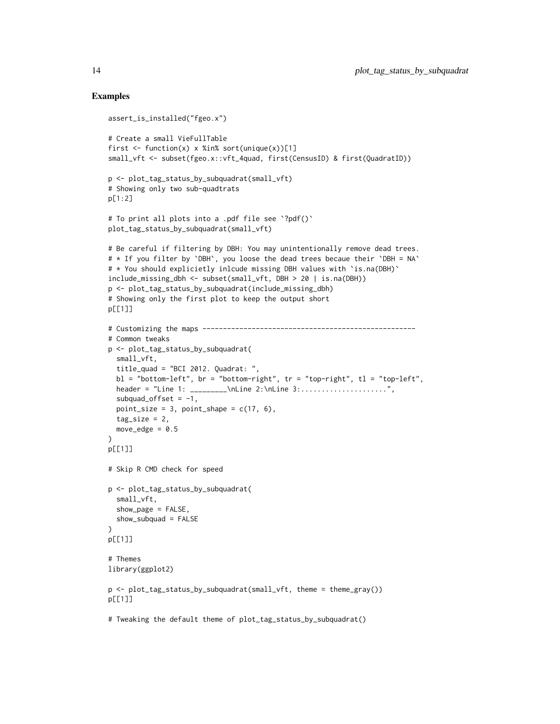```
assert_is_installed("fgeo.x")
# Create a small VieFullTable
first \le function(x) x %in% sort(unique(x))[1]
small_vft <- subset(fgeo.x::vft_4quad, first(CensusID) & first(QuadratID))
p <- plot_tag_status_by_subquadrat(small_vft)
# Showing only two sub-quadtrats
p[1:2]
# To print all plots into a .pdf file see `?pdf()`
plot_tag_status_by_subquadrat(small_vft)
# Be careful if filtering by DBH: You may unintentionally remove dead trees.
# * If you filter by `DBH`, you loose the dead trees becaue their `DBH = NA`
# * You should explicietly inlcude missing DBH values with `is.na(DBH)`
include_missing_dbh <- subset(small_vft, DBH > 20 | is.na(DBH))
p <- plot_tag_status_by_subquadrat(include_missing_dbh)
# Showing only the first plot to keep the output short
p[[1]]
# Customizing the maps ----------------------------------------------------
# Common tweaks
p <- plot_tag_status_by_subquadrat(
 small_vft,
  title_quad = "BCI 2012. Quadrat: ",
  b1 = "bottom-left", br = "bottom-right", tr = "top-right", t1 = "top-left",
  header = "Line 1: _{\text{h} = \sum_{\text{h} \in 2:\hbox{h} \in 3:\dots:\dots:\dots:\dots",
  subquad_offset = -1,
  point_size = 3, point_shape = c(17, 6),
  tag\_size = 2,
  move_edge = 0.5)
p[[1]]
# Skip R CMD check for speed
p <- plot_tag_status_by_subquadrat(
  small_vft,
  show_page = FALSE,
  show_subquad = FALSE
)
p[[1]]
# Themes
library(ggplot2)
p \leftarrow plot\_tag\_status_by\_subquadrat(small\_vft, them = them\_gray())p[[1]]
# Tweaking the default theme of plot_tag_status_by_subquadrat()
```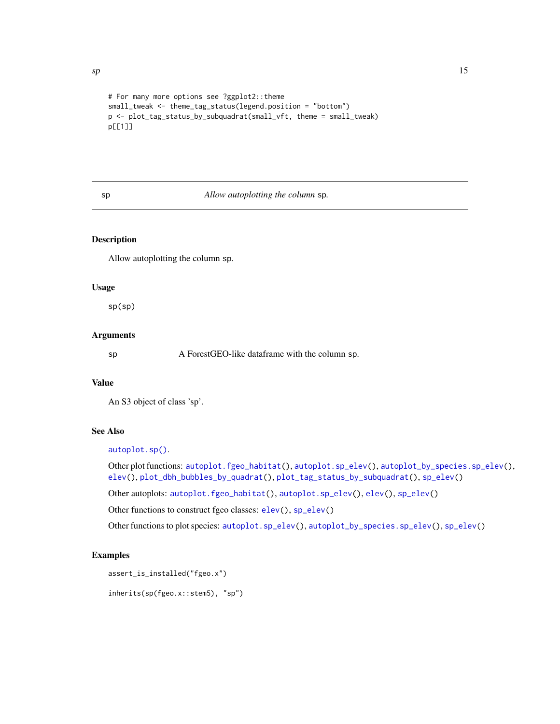```
# For many more options see ?ggplot2::theme
small_tweak <- theme_tag_status(legend.position = "bottom")
p <- plot_tag_status_by_subquadrat(small_vft, theme = small_tweak)
p[[1]]
```
#### <span id="page-14-1"></span>sp *Allow autoplotting the column* sp*.*

# Description

Allow autoplotting the column sp.

# Usage

sp(sp)

#### Arguments

sp A Forest GEO-like data frame with the column sp.

# Value

An S3 object of class 'sp'.

# See Also

[autoplot.sp\(\)](#page-2-2).

Other plot functions: [autoplot.fgeo\\_habitat\(](#page-1-1)), [autoplot.sp\\_elev\(](#page-2-1)), [autoplot\\_by\\_species.sp\\_elev\(](#page-5-1)), [elev\(](#page-8-1)), [plot\\_dbh\\_bubbles\\_by\\_quadrat\(](#page-8-2)), [plot\\_tag\\_status\\_by\\_subquadrat\(](#page-10-1)), [sp\\_elev\(](#page-15-1))

Other autoplots: [autoplot.fgeo\\_habitat\(](#page-1-1)), [autoplot.sp\\_elev\(](#page-2-1)), [elev\(](#page-8-1)), [sp\\_elev\(](#page-15-1))

Other functions to construct fgeo classes: [elev\(](#page-8-1)), [sp\\_elev\(](#page-15-1))

Other functions to plot species: [autoplot.sp\\_elev\(](#page-2-1)), [autoplot\\_by\\_species.sp\\_elev\(](#page-5-1)), [sp\\_elev\(](#page-15-1))

#### Examples

```
assert_is_installed("fgeo.x")
```
inherits(sp(fgeo.x::stem5), "sp")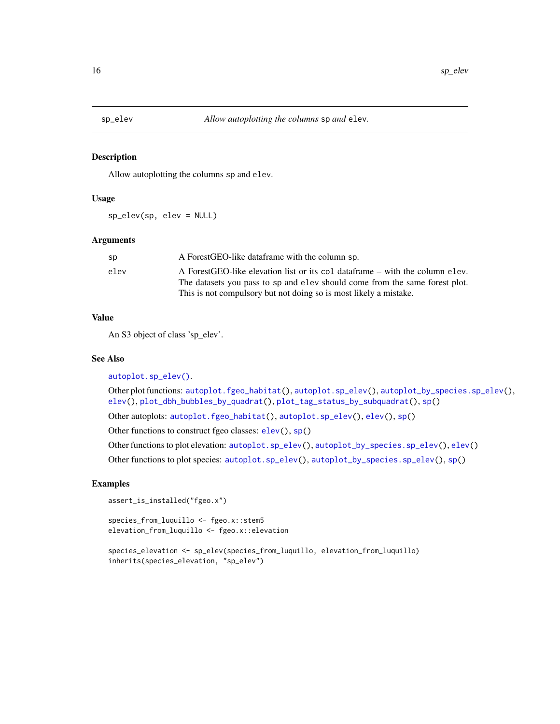<span id="page-15-1"></span><span id="page-15-0"></span>

#### Description

Allow autoplotting the columns sp and elev.

#### Usage

sp\_elev(sp, elev = NULL)

#### Arguments

| sp   | A Forest GEO-like data frame with the column sp.                               |
|------|--------------------------------------------------------------------------------|
| elev | A Forest GEO-like elevation list or its col data frame – with the column elev. |
|      | The datasets you pass to sp and elev should come from the same forest plot.    |
|      | This is not compulsory but not doing so is most likely a mistake.              |

# Value

An S3 object of class 'sp\_elev'.

#### See Also

[autoplot.sp\\_elev\(\)](#page-2-1).

Other plot functions: [autoplot.fgeo\\_habitat\(](#page-1-1)), [autoplot.sp\\_elev\(](#page-2-1)), [autoplot\\_by\\_species.sp\\_elev\(](#page-5-1)), [elev\(](#page-8-1)), [plot\\_dbh\\_bubbles\\_by\\_quadrat\(](#page-8-2)), [plot\\_tag\\_status\\_by\\_subquadrat\(](#page-10-1)), [sp\(](#page-14-1))

Other autoplots: [autoplot.fgeo\\_habitat\(](#page-1-1)), [autoplot.sp\\_elev\(](#page-2-1)), [elev\(](#page-8-1)), [sp\(](#page-14-1))

Other functions to construct fgeo classes: [elev\(](#page-8-1)), [sp\(](#page-14-1))

Other functions to plot elevation: [autoplot.sp\\_elev\(](#page-2-1)), [autoplot\\_by\\_species.sp\\_elev\(](#page-5-1)), [elev\(](#page-8-1))

Other functions to plot species: [autoplot.sp\\_elev\(](#page-2-1)), [autoplot\\_by\\_species.sp\\_elev\(](#page-5-1)), [sp\(](#page-14-1))

#### Examples

```
assert_is_installed("fgeo.x")
```
species\_from\_luquillo <- fgeo.x::stem5 elevation\_from\_luquillo <- fgeo.x::elevation

```
species_elevation <- sp_elev(species_from_luquillo, elevation_from_luquillo)
inherits(species_elevation, "sp_elev")
```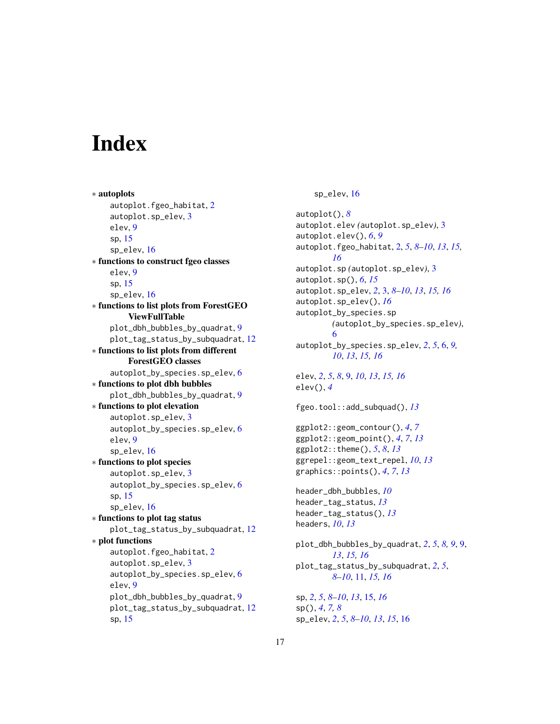# <span id="page-16-0"></span>**Index**

∗ autoplots autoplot.fgeo\_habitat, [2](#page-1-0) autoplot.sp\_elev, [3](#page-2-0) elev, [9](#page-8-0) sp, [15](#page-14-0) sp\_elev, [16](#page-15-0) ∗ functions to construct fgeo classes elev, [9](#page-8-0) sp, [15](#page-14-0) sp\_elev, [16](#page-15-0) ∗ functions to list plots from ForestGEO ViewFullTable plot\_dbh\_bubbles\_by\_quadrat, [9](#page-8-0) plot\_tag\_status\_by\_subquadrat, [12](#page-11-0) ∗ functions to list plots from different ForestGEO classes autoplot\_by\_species.sp\_elev, [6](#page-5-0) ∗ functions to plot dbh bubbles plot\_dbh\_bubbles\_by\_quadrat, [9](#page-8-0) ∗ functions to plot elevation autoplot.sp\_elev, [3](#page-2-0) autoplot\_by\_species.sp\_elev, [6](#page-5-0) elev, [9](#page-8-0) sp\_elev, [16](#page-15-0) ∗ functions to plot species autoplot.sp\_elev, [3](#page-2-0) autoplot\_by\_species.sp\_elev, [6](#page-5-0) sp, [15](#page-14-0) sp\_elev, [16](#page-15-0) ∗ functions to plot tag status plot\_tag\_status\_by\_subquadrat, [12](#page-11-0) ∗ plot functions autoplot.fgeo\_habitat, [2](#page-1-0) autoplot.sp\_elev, [3](#page-2-0) autoplot\_by\_species.sp\_elev, [6](#page-5-0) elev, [9](#page-8-0) plot\_dbh\_bubbles\_by\_quadrat, [9](#page-8-0) plot\_tag\_status\_by\_subquadrat, [12](#page-11-0) sp, [15](#page-14-0)

sp\_elev, [16](#page-15-0)

autoplot(), *[8](#page-7-0)* autoplot.elev *(*autoplot.sp\_elev*)*, [3](#page-2-0) autoplot.elev(), *[6](#page-5-0)*, *[9](#page-8-0)* autoplot.fgeo\_habitat, [2,](#page-1-0) *[5](#page-4-0)*, *[8](#page-7-0)[–10](#page-9-0)*, *[13](#page-12-0)*, *[15,](#page-14-0) [16](#page-15-0)* autoplot.sp *(*autoplot.sp\_elev*)*, [3](#page-2-0) autoplot.sp(), *[6](#page-5-0)*, *[15](#page-14-0)* autoplot.sp\_elev, *[2](#page-1-0)*, [3,](#page-2-0) *[8](#page-7-0)[–10](#page-9-0)*, *[13](#page-12-0)*, *[15,](#page-14-0) [16](#page-15-0)* autoplot.sp\_elev(), *[16](#page-15-0)* autoplot\_by\_species.sp *(*autoplot\_by\_species.sp\_elev*)*, [6](#page-5-0) autoplot\_by\_species.sp\_elev, *[2](#page-1-0)*, *[5](#page-4-0)*, [6,](#page-5-0) *[9,](#page-8-0) [10](#page-9-0)*, *[13](#page-12-0)*, *[15,](#page-14-0) [16](#page-15-0)* elev, *[2](#page-1-0)*, *[5](#page-4-0)*, *[8](#page-7-0)*, [9,](#page-8-0) *[10](#page-9-0)*, *[13](#page-12-0)*, *[15,](#page-14-0) [16](#page-15-0)* elev(), *[4](#page-3-0)* fgeo.tool::add\_subquad(), *[13](#page-12-0)*

ggplot2::geom\_contour(), *[4](#page-3-0)*, *[7](#page-6-0)* ggplot2::geom\_point(), *[4](#page-3-0)*, *[7](#page-6-0)*, *[13](#page-12-0)* ggplot2::theme(), *[5](#page-4-0)*, *[8](#page-7-0)*, *[13](#page-12-0)* ggrepel::geom\_text\_repel, *[10](#page-9-0)*, *[13](#page-12-0)* graphics::points(), *[4](#page-3-0)*, *[7](#page-6-0)*, *[13](#page-12-0)*

```
header_dbh_bubbles, 10
header_tag_status, 13
header_tag_status(), 13
headers, 10, 13
```
plot\_dbh\_bubbles\_by\_quadrat, *[2](#page-1-0)*, *[5](#page-4-0)*, *[8,](#page-7-0) [9](#page-8-0)*, [9,](#page-8-0) *[13](#page-12-0)*, *[15,](#page-14-0) [16](#page-15-0)* plot\_tag\_status\_by\_subquadrat, *[2](#page-1-0)*, *[5](#page-4-0)*, *[8](#page-7-0)[–10](#page-9-0)*, [11,](#page-10-0) *[15,](#page-14-0) [16](#page-15-0)*

sp, *[2](#page-1-0)*, *[5](#page-4-0)*, *[8](#page-7-0)[–10](#page-9-0)*, *[13](#page-12-0)*, [15,](#page-14-0) *[16](#page-15-0)* sp(), *[4](#page-3-0)*, *[7,](#page-6-0) [8](#page-7-0)* sp\_elev, *[2](#page-1-0)*, *[5](#page-4-0)*, *[8](#page-7-0)[–10](#page-9-0)*, *[13](#page-12-0)*, *[15](#page-14-0)*, [16](#page-15-0)